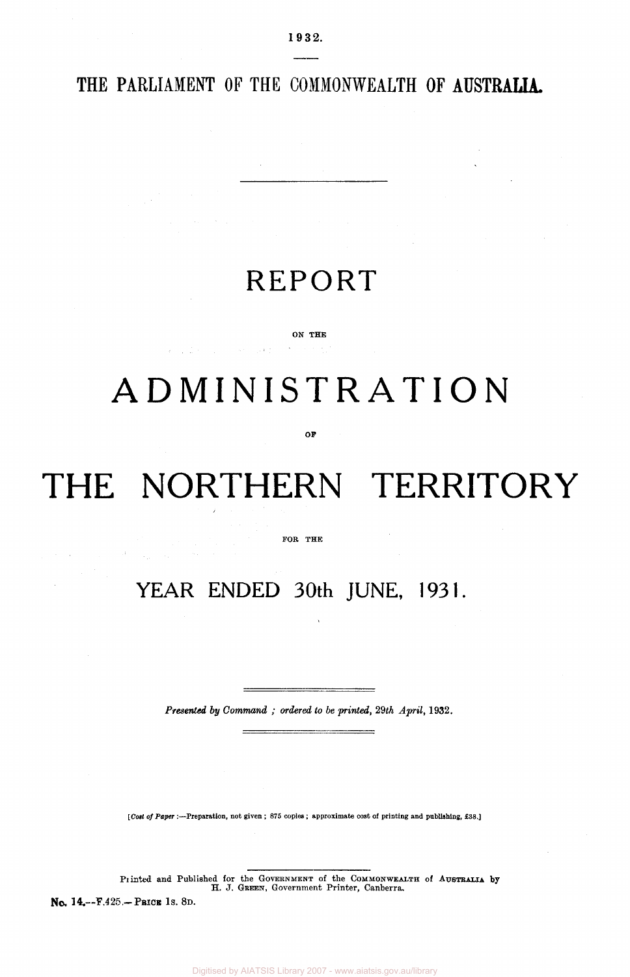THE PARLIAMENT OF THE COMMONWEALTH OF **AUSTRALIA.** 

### REPORT

#### ON THE

 $\alpha = 1$  ,  $2\pi$  ,  $\alpha = 1$  , and  $\alpha = 1$  , and  $\beta$ 

## ADMINISTRATION

OF

# THE NORTHERN TERRITORY

#### FOR THE

### **YEAR ENDED 30th JUNE, 1931.**

*Presented by Command ; ordered to be printed, 29th April,* 1932.

*[Cost of Paper :*—Preparation, not given ; 875 copies ; approximate cost of printing and publishing, £38.]

Printed and Published for the GOVERNMENT of the COMMONWEALTH of AUSTRALIA by<br>H. J. GREEN, Government Printer, Canberra.

No. 14.--F.425.-PBICK 1s. 8D.

 $\sim 10^7$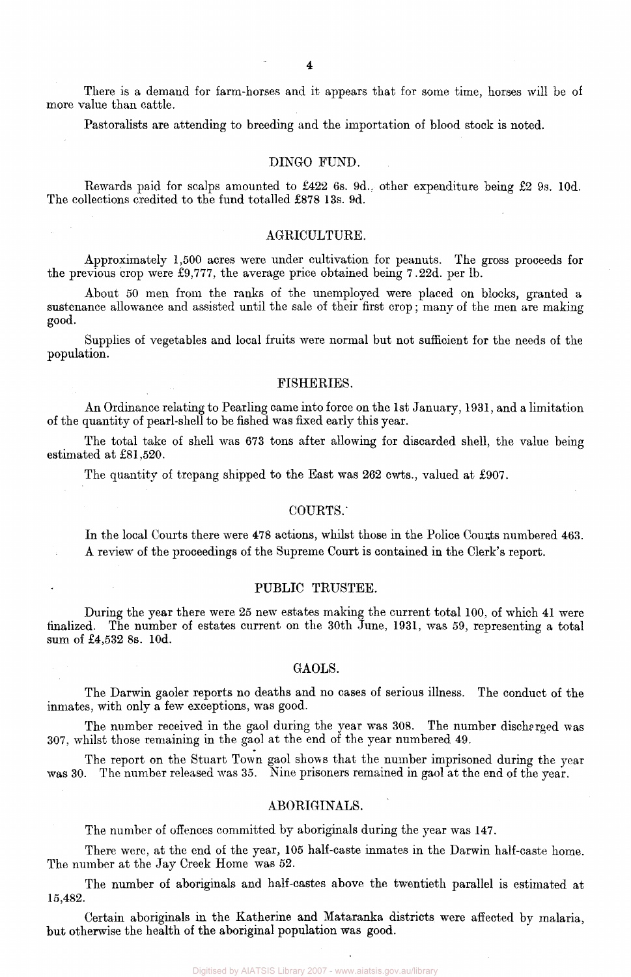There is a demand for farm-horses and it appears that for some time, horses will be of more value than cattle.

Pastoralists are attending to breeding and the importation of blood stock is noted.

#### DINGO FUND.

Rewards paid for scalps amounted to £422 6s. 9d.. other expenditure being £2 9s. 10d. The collections credited to the fund totalled £878 13s. 9d.

#### AGRICULTURE.

Approximately 1,500 acres were under cultivation for peanuts. The gross proceeds for the previous crop were £9,777, the average price obtained being 7.22d. per lb.

About 50 men from the ranks of the unemployed were placed on blocks, granted a sustenance allowance and assisted until the sale of their first crop; many of the men are making good.

Supplies of vegetables and local fruits were normal but not sufficient for the needs of the population.

#### FISHERIES.

An Ordinance relating to Pearling came into force on the 1st January, 1931, and a limitation of the quantity of pearl-shell to be fished was fixed early this year.

The total take of shell was 673 tons after allowing for discarded shell, the value being estimated at £81,520.

The quantity of trepang shipped to the East was 262 cwts., valued at £907.

#### COURTS.'

In the local Courts there were 478 actions, whilst those in the Police Courts numbered 463. A review of the proceedings of the Supreme Court is contained in the Clerk's report.

#### PUBLIC TRUSTEE.

During the year there were 25 new estates making the current total 100, of which 41 were finalized. The number of estates current on the 30th June, 1931, was 59, representing a total sum of £4,532 8s. 10d.

#### GAOLS.

The Darwin gaoler reports no deaths and no cases of serious illness. The conduct of the inmates, with only a few exceptions, was good.

The number received in the gaol during the year was 308. The number discharged was 307, whilst those remaining in the gaol at the end of the year numbered 49.

The report on the Stuart Town gaol shows that the number imprisoned during the year was 30. The number released was 35. Nine prisoners remained in gaol at the end of the year.

#### ABORIGINALS.

The number of offences committed by aboriginals during the year was 147.

There were, at the end of the year, 105 half-caste inmates in the Darwin half-caste home. The number at the Jay Creek Home was 52.

The number of aboriginals and half-castes above the twentieth parallel is estimated at 15,482.

Certain aboriginals in the Katherine and Mataranka districts were affected by malaria, but otherwise the health of the aboriginal population was good.

Digitised by AIATSIS Library 2007 - www.aiatsis.gov.au/library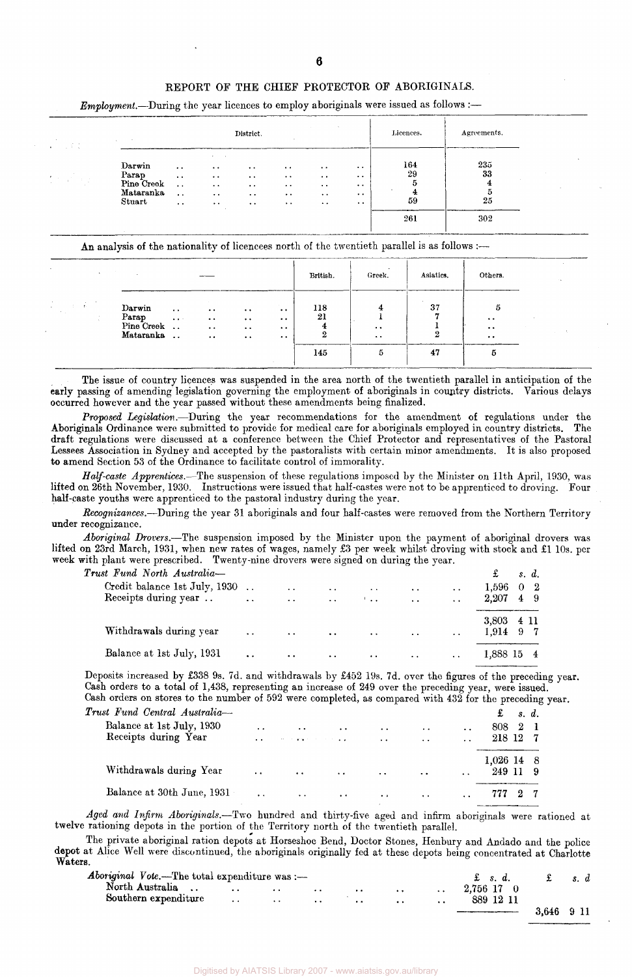#### REPORT OF THE CHIEF PROTECTOR OF ABORIGINALS.

| $\sim 10^{-1}$<br>ΚÇ                                                                                                            |                                              |                                                            | District.                                    | .                                   | $\sim$                                         |                                                                    | Licences.           | Agreements.<br>_________________________ |  |
|---------------------------------------------------------------------------------------------------------------------------------|----------------------------------------------|------------------------------------------------------------|----------------------------------------------|-------------------------------------|------------------------------------------------|--------------------------------------------------------------------|---------------------|------------------------------------------|--|
| Darwin<br>Parap<br>$\sim$<br>$\mathcal{F}(\mathcal{F}_{\mathcal{F}})$ .<br>19 T.<br>Pine Creek<br>$\sim$<br>$\sim$<br>Mataranka | $\bullet\ \bullet$<br>$\cdot$ .<br>$\ddotsc$ | . .<br>$\cdot$ $\cdot$<br>$\cdot$ .<br>$\bullet$ $\bullet$ | $\cdot$ .<br>$\cdot$<br>$\ddot{\phantom{1}}$ | $\ddotsc$<br>$\cdot$ .<br>$\cdot$ . | $\ddotsc$<br>$\ddot{\phantom{1}}$<br>$\cdot$ . | $\cdot$ .<br>$\bullet\hspace{1mm}\bullet\hspace{1mm}$<br>$\cdot$ . | 164<br>29<br>5<br>4 | 235<br>33<br>5                           |  |
| Stuart                                                                                                                          | $\bullet$ $\bullet$<br>$\ddot{\phantom{a}}$  | $\cdot$ .<br>$\cdot$ .<br>$\sim$                           | $\ddotsc$<br>$\ddot{\phantom{1}}$            | $\cdot$ .<br>$\ddot{\phantom{1}}$   | $\ddot{\phantom{1}}$<br>$\ddot{\phantom{0}}$   | $\cdot$ .<br>$\cdot$ .                                             | 59<br>261           | 25<br>302                                |  |

*Employment.*—During the year licences to employ aboriginals were issued as follows :—

An analysis of the nationality of licencees north of the twentieth parallel is as follows :-

| $\sim$                                    | - 4                                        |                                                             |                                                                        |                                                                                                           |                                                                                          | British.       | <b>A</b><br>Greek.                     | Asiatics. | Others.                                             |
|-------------------------------------------|--------------------------------------------|-------------------------------------------------------------|------------------------------------------------------------------------|-----------------------------------------------------------------------------------------------------------|------------------------------------------------------------------------------------------|----------------|----------------------------------------|-----------|-----------------------------------------------------|
| <b>Service</b><br>÷.<br><b>Controller</b> | Darwin<br>Parap<br>Pine Creek<br>Mataranka | $\cdot$ .<br>$\bullet$ $\bullet$ $\rightarrow$<br>$\cdot$ . | $\ddot{\phantom{0}}$<br>$\cdot$ .<br>$\ddot{\phantom{1}}$<br>$\ddotsc$ | $\cdot$ .<br>$\ddot{\phantom{1}}$<br>$\bullet$ $\bullet$<br>$\bullet\hspace{0.1cm} \bullet\hspace{0.1cm}$ | <b>College College</b><br>$\ddot{\phantom{0}}$<br>$\cdot$ .<br>$\ddotsc$<br>$\cdot\cdot$ | 118<br>21<br>△ | 4<br>$\cdot$ .<br>$\ddot{\phantom{1}}$ | 37        | 5<br>$\cdot$ .<br>$\ddot{\phantom{0}}$<br>$\cdot$ . |
|                                           |                                            |                                                             |                                                                        |                                                                                                           |                                                                                          | 145            | 5                                      | 47        | Ð                                                   |

The issue of country licences was suspended in the area north of the twentieth parallel in anticipation of the early passing of amending legislation governing the employment of aboriginals in country districts. Various delays occurred however and the year passed without these amendments being finalized.

*Proposed Legislation.*—During the year recommendations for the amendment of regulations under the Aboriginals Ordinance were submitted to provide for medical care for aboriginals employed in country districts. The draft regulations were discussed at a conference between the Chief Protector and representatives of the Pastoral Lessees Association in Sydney and accepted by the pastoralists with certain minor amendments. It is also proposed to amend Section 53 of the Ordinance to facilitate control of immorality.

*Half-caste Apprentices.*—The suspension of these regulations imposed by the Minister on 11th April, 1930, was lifted on 26th November, 1930. Instructions were issued that half-castes were not to be apprenticed to droving. Four half-caste youths were apprenticed to the pastoral industry during the year.

*Recognizances.*—During the year 31 aboriginals and four half-castes were removed from the Northern Territory under recognizance.

*Aboriginal Drovers.*—The suspension imposed by the Minister upon the payment of aboriginal drovers was lifted on 23rd March, 1931, when new rates of wages, namely £3 per week whilst droving with stock and £1 10s. per week with plant were prescribed. Twenty-nine drovers were signed on during the year.

| $\boldsymbol{T}$ rust Fund North Australia— |               |                         |                                                                                         |                              |                                   |                      | £          | s. d.      |  |
|---------------------------------------------|---------------|-------------------------|-----------------------------------------------------------------------------------------|------------------------------|-----------------------------------|----------------------|------------|------------|--|
| Credit balance 1st July, 1930               |               | $\ddotsc$               | $\sim$                                                                                  | $\sim$ $\sim$                | $\ddotsc$                         | $\ddot{\phantom{a}}$ | 1,596      | $0\quad 2$ |  |
| Receipts during year                        |               | $\ddotsc$               | $\ddot{\phantom{a}}$                                                                    | $\mathcal{F}$ .              | $\ddot{\phantom{a}}$              | $\ddot{\phantom{a}}$ | 2.207      | 49         |  |
|                                             |               |                         |                                                                                         |                              |                                   |                      | 3,803 4 11 |            |  |
| Withdrawals during year                     | $\sim$ $\sim$ | $\sim 100$ km s $^{-1}$ | $\sim$ .                                                                                | $\sim 10^{-10}$ km s $^{-1}$ | $\sim 100$ km s $^{-1}$           | $\ddot{\phantom{a}}$ | 1,914 9 7  |            |  |
| Balance at 1st July, 1931                   | $\sim$ $\sim$ | $\sim 100$ km s $^{-1}$ | $\mathcal{L}^{\text{max}}_{\text{max}}$ , where $\mathcal{L}^{\text{max}}_{\text{max}}$ |                              | the company of the company of the | $\sim$ $\sim$        | 1,888 15 4 |            |  |

Deposits increased by £338 9s. 7d. and withdrawals by £452 19s. 7d. over the figures of the preceding year. Cash orders to a total of 1,438, representing an increase of 249 over the preceding year, were issued. Cash orders on stores to the number of 592 were completed, as compared with 432 for the preceding year.

| $\emph{Trust}$ Fund Central Australia- |                      |                                   |                      |                      |                      |                      | $\mathbf{\pounds}$ s.d. |                  |  |
|----------------------------------------|----------------------|-----------------------------------|----------------------|----------------------|----------------------|----------------------|-------------------------|------------------|--|
| Balance at 1st July, 1930              | $\ddotsc$            | $\sim$ $\sim$                     | $\ddot{\phantom{0}}$ | $\ddot{\phantom{0}}$ | $\ddotsc$            | $\ddot{\phantom{a}}$ | 808 2 1                 |                  |  |
| Receipts during Year                   |                      | and the company of the company of |                      | $\ddot{\phantom{0}}$ | $\ddot{\phantom{a}}$ |                      | 218 12 7                |                  |  |
|                                        |                      |                                   |                      |                      |                      |                      | 1,026 14 8              |                  |  |
| Withdrawals during Year                | $\ddot{\phantom{a}}$ | $\mathbf{a}$ , and $\mathbf{a}$   | $\ddot{\phantom{0}}$ | $\ddotsc$            | $\ddot{\phantom{a}}$ | $\ddot{\phantom{0}}$ | 249 11 9                |                  |  |
| Balance at 30th June, 1931             | $\ddot{\phantom{a}}$ | $\ddotsc$                         | $\ddot{\phantom{a}}$ | $\bullet$ $\bullet$  | $\cdots$             | $\ddotsc$            | 777                     | $2 \thinspace$ 7 |  |

*Aged and Infirm Aboriginals.*—Two hundred and thirty-five aged and infirm aboriginals were rationed at twelve rationing depots in the portion of the Territory north of the twentieth parallel.

The private aboriginal ration depots at Horseshoe Bend, Doctor Stones, Henbury and Andado and the police depot at Alice Well were discontinued, the aboriginals originally fed at these depots being concentrated at Charlotte Waters.

| Aboriginal Vote.—The total expenditure was :— |                      |                        |                 |                      |                      |                      | $\pounds$ s.d. |            | s. d |  |
|-----------------------------------------------|----------------------|------------------------|-----------------|----------------------|----------------------|----------------------|----------------|------------|------|--|
| North Australia                               | $\sim$ $\sim$ $\sim$ | $\sim$ $\sim$ $\sim$   | $\cdot$ $\cdot$ | $\ddot{\phantom{0}}$ | $\ddot{\phantom{1}}$ |                      | $2.756$ 17 0   |            |      |  |
| Southern expenditure                          | $\cdots$             | <b><i>Contract</i></b> | $\cdot$ .       | $\ddot{\phantom{1}}$ | $\ddot{\phantom{a}}$ | $\ddot{\phantom{a}}$ | 889 12 11      |            |      |  |
|                                               |                      |                        |                 |                      |                      |                      |                | 3.646 9 11 |      |  |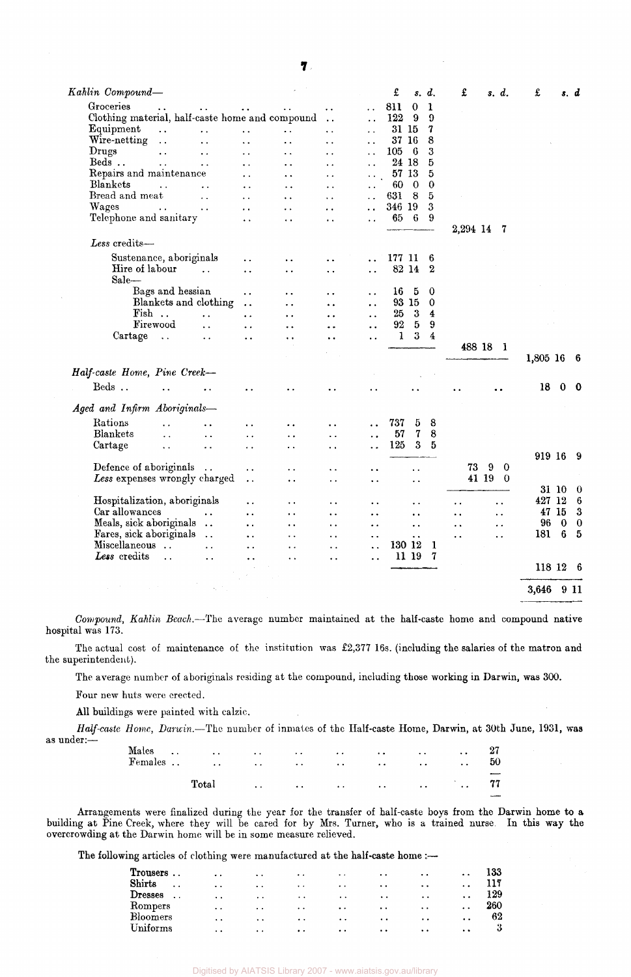| Kahlin Compound—                                |                        |                      |                      |                      |                      | £      | s. d.                |                  | £                    |          | s. d.                    | £        |                | s. d                 |
|-------------------------------------------------|------------------------|----------------------|----------------------|----------------------|----------------------|--------|----------------------|------------------|----------------------|----------|--------------------------|----------|----------------|----------------------|
| Groceries                                       | $\ddot{\phantom{1}}$   |                      |                      | $\ddot{\phantom{0}}$ | . .                  | 811    | $\bf{0}$             | 1                |                      |          |                          |          |                |                      |
| Clothing material, half-caste home and compound |                        |                      |                      | $\ddot{\phantom{a}}$ | $\ddot{\phantom{a}}$ | 122    | 9                    | 9                |                      |          |                          |          |                |                      |
| Equipment<br>$\ddot{\phantom{a}}$               | $\ddot{\phantom{0}}$   | $\ddot{\phantom{0}}$ | $\ddot{\phantom{a}}$ | $\ddot{\phantom{0}}$ | $\ddot{\phantom{0}}$ | 31 15  |                      | 7                |                      |          |                          |          |                |                      |
| Wire-netting<br>$\ddotsc$                       |                        | $\ddot{\phantom{a}}$ | $\ddot{\phantom{a}}$ | $\ddot{\phantom{a}}$ | $\ddot{\phantom{a}}$ | 37 16  |                      | 8                |                      |          |                          |          |                |                      |
| Drugs<br>$\ddot{\phantom{a}}$                   | $\ddot{\phantom{0}}$   | $\ddot{\phantom{0}}$ | $\ddot{\phantom{1}}$ | $\ddot{\phantom{0}}$ | . .                  | 105    | 6                    | 3                |                      |          |                          |          |                |                      |
| Beds                                            | $\ddot{\phantom{0}}$   | $\ddot{\phantom{a}}$ | $\ddot{\phantom{0}}$ | $\ddot{\phantom{a}}$ | $\ddot{\phantom{0}}$ | 24 18  |                      | 5                |                      |          |                          |          |                |                      |
| Repairs and maintenance                         |                        | . .                  | $\ddot{\phantom{0}}$ | $\ddot{\phantom{0}}$ |                      | 57 13  |                      | 5                |                      |          |                          |          |                |                      |
| Blankets                                        |                        | $\ddot{\phantom{0}}$ | $\ddot{\phantom{0}}$ | $\ddot{\phantom{0}}$ |                      | 60     | - 0                  | $\mathbf 0$      |                      |          |                          |          |                |                      |
| Bread and meat                                  | $\ddot{\phantom{a}}$   | $\ddot{\phantom{a}}$ | . .                  | $\ddot{\phantom{a}}$ |                      | 631    | 8                    | $\overline{5}$   |                      |          |                          |          |                |                      |
| Wages<br>$\ddot{\phantom{a}}$ .                 | $\ddot{\phantom{0}}$   | $\ddot{\phantom{0}}$ | $\ddot{\phantom{0}}$ | . .                  |                      | 346 19 |                      | 3                |                      |          |                          |          |                |                      |
| Telephone and sanitary                          |                        | $\ddot{\phantom{a}}$ | $\ddot{\phantom{a}}$ | . .                  | $\ddot{\phantom{a}}$ | 65     | -6                   | 9                |                      |          |                          |          |                |                      |
|                                                 |                        |                      |                      |                      |                      |        |                      |                  | 2,294 14             |          | - 7                      |          |                |                      |
| Less credits-                                   |                        |                      |                      |                      |                      |        |                      |                  |                      |          |                          |          |                |                      |
| Sustenance, aboriginals                         |                        | . .                  | $\ddot{\phantom{0}}$ |                      |                      | 177 11 |                      | 6                |                      |          |                          |          |                |                      |
| Hire of labour                                  | $\ddot{\phantom{a}}$   | $\ddot{\phantom{0}}$ | $\ddot{\phantom{0}}$ | . .                  | . .                  | 82 14  |                      | $\boldsymbol{2}$ |                      |          |                          |          |                |                      |
| Sale-                                           |                        |                      |                      |                      |                      |        |                      |                  |                      |          |                          |          |                |                      |
| Bags and hessian                                |                        | $\ddot{\phantom{0}}$ | $\ddot{\phantom{0}}$ | $\ddot{\phantom{0}}$ | . .                  | 16     | 5                    | 0                |                      |          |                          |          |                |                      |
| Blankets and clothing                           |                        | $\ddot{\phantom{a}}$ | $\ddot{\phantom{0}}$ | . .                  | $\ddot{\phantom{0}}$ | 93 15  |                      | $\Omega$         |                      |          |                          |          |                |                      |
| Fish                                            | $\ddot{\phantom{0}}$   | $\ddot{\phantom{0}}$ | $\ddot{\phantom{0}}$ | . .                  | . .                  | 25     | 3                    | 4                |                      |          |                          |          |                |                      |
| Firewood                                        | $\ddot{\phantom{a}}$   | $\ddot{\phantom{0}}$ | . .                  | . .                  | . .                  | 92     | $\mathbf{5}$         | 9                |                      |          |                          |          |                |                      |
| Cartage<br>$\ddotsc$                            | $\ddotsc$              | $\ddot{\phantom{a}}$ | $\ddot{\phantom{0}}$ | . .                  | . .                  | 1      | $\boldsymbol{3}$     | $\overline{4}$   |                      |          |                          |          |                |                      |
|                                                 |                        |                      |                      |                      |                      |        |                      |                  |                      | 488 18 1 |                          |          |                |                      |
| Half-caste Home, Pine Creek-                    |                        |                      |                      |                      |                      |        |                      |                  |                      |          |                          | 1,805 16 |                | - 6                  |
|                                                 |                        |                      |                      |                      |                      |        |                      |                  |                      |          |                          |          |                |                      |
| Beds<br>$\ddot{\phantom{0}}$                    |                        |                      |                      |                      |                      |        |                      |                  |                      |          |                          | 18       | 0              | - 0                  |
| Aged and Infirm Aboriginals-                    |                        |                      |                      |                      |                      |        |                      |                  |                      |          |                          |          |                |                      |
| Rations                                         | . .                    | . .                  | . .                  | . .                  |                      | 737    | 5                    | 8                |                      |          |                          |          |                |                      |
| Blankets<br>$\ddot{\phantom{0}}$                | $\ddot{\phantom{0}}$   | $\ddot{\phantom{0}}$ | $\ddot{\phantom{0}}$ | $\ddot{\phantom{0}}$ | $\ddot{\phantom{a}}$ | 57     | $\boldsymbol{7}$     | 8                |                      |          |                          |          |                |                      |
| Cartage<br>$\ddotsc$                            | $\ddot{\phantom{a}}$   | $\ddot{\phantom{0}}$ | . .                  | $\ddot{\phantom{a}}$ | . .                  | 125    | $\boldsymbol{3}$     | 5                |                      |          |                          |          |                |                      |
|                                                 |                        |                      |                      |                      |                      |        |                      |                  |                      |          |                          | 919 16 9 |                |                      |
| Defence of aboriginals                          | $\ddot{\phantom{a}}$   | . .                  | . .                  | $\ddot{\phantom{a}}$ | . .                  |        | $\ddot{\phantom{0}}$ |                  | 73                   | 9        | 0                        |          |                |                      |
| Less expenses wrongly charged                   |                        | . .                  | . .                  | . .                  | . .                  |        | . .                  |                  |                      | 41 19    | $\overline{\phantom{0}}$ |          |                |                      |
|                                                 |                        |                      |                      |                      |                      |        |                      |                  |                      |          |                          |          | 31 10          | 0                    |
| Hospitalization, aboriginals                    |                        | . .                  | $\ddot{\phantom{0}}$ | . .                  | . .                  |        | . .                  |                  | $\ddot{\phantom{0}}$ |          | $\ddot{\phantom{0}}$     | 427 12   |                | $6\phantom{1}6$      |
| Car allowances                                  |                        | . .                  | . .                  | . .                  |                      |        |                      |                  |                      |          |                          |          | 47 15          | $\boldsymbol{\cdot}$ |
| Meals, sick aboriginals                         | $\ddot{\phantom{a}}$ . |                      |                      |                      | . .                  |        | $\ddot{\phantom{0}}$ |                  | ٠.                   |          | . .                      | 96       | $\bf{0}$       | $\boldsymbol{0}$     |
| Fares, sick aboriginals                         | $\ddot{\phantom{a}}$   | . .                  | . .                  | . .                  | . .                  |        | $\ddot{\phantom{0}}$ |                  | $\ddot{\phantom{1}}$ |          | $\ddot{\phantom{1}}$     | 181      | $6\phantom{1}$ | $\bf{5}$             |
| Miscellaneous                                   |                        | $\ddot{\phantom{a}}$ | . .                  | . .                  | . .                  | 130 12 | $\ddot{\phantom{0}}$ | 1                | $\ddot{\phantom{a}}$ |          | $\ddot{\phantom{a}}$     |          |                |                      |
| Less credits                                    | $\ddot{\phantom{a}}$   | . .                  | . .                  | $\ddot{\phantom{0}}$ | . .                  |        | 11 19                | 7                |                      |          |                          |          |                |                      |
| $\ddot{\phantom{a}}$                            | . .                    | . .                  | . .                  | . .                  | $\ddot{\phantom{a}}$ |        |                      |                  |                      |          |                          | 118 12 6 |                |                      |
|                                                 |                        |                      |                      |                      |                      |        |                      |                  |                      |          |                          |          |                |                      |
|                                                 |                        |                      |                      |                      |                      |        |                      |                  |                      |          |                          | 3,646    | 9 11           |                      |

*Compound, Kahlin Beach.*—The average number maintained at the half-caste home and compound native hospital was 173.

The actual cost of maintenance of the institution was £2,377 16s. (including the salaries of the matron and the superintendent).

The average number of aboriginals residing at the compound, including those working in Darwin, was 300.

Four new huts were erected.

All buildings were painted with calzic.

*Half-caste Home, Darwin.*—The number of inmates of the Half-caste Home, Darwin, at 30th June, 1931, was as under:—

|  | Males $\cdots$ $\cdots$ $\cdots$ $\cdots$ $\cdots$ $\cdots$ $\cdots$ |  |                                                        |  |    |
|--|----------------------------------------------------------------------|--|--------------------------------------------------------|--|----|
|  | <b>Females         </b>                                              |  |                                                        |  | 50 |
|  |                                                                      |  |                                                        |  |    |
|  | Total                                                                |  | المتعاقب المعاون والمعاون والمعاون والمعاون والمعاونات |  | 77 |
|  |                                                                      |  |                                                        |  |    |

Arrangements were finalized during the year for the transfer of half-caste boys from the Darwin home to a building at Pine Creek, where they will be cared for by Mrs. Turner, who is a trained nurse. In this way the overcrowding at the Darwin home will be in some measure relieved.

The following articles of clothing were manufactured at the half-caste home :--

| <b>Trousers</b> | $\ddot{\phantom{a}}$ | $\bullet\ \bullet$   | $\ddot{\phantom{0}}$ | $\bullet\bullet$     | $\sim$ $\sim$        | $\ddot{\phantom{0}}$ | $\cdot$ .            | $\bullet$            | 133 |
|-----------------|----------------------|----------------------|----------------------|----------------------|----------------------|----------------------|----------------------|----------------------|-----|
| Shirts          | $\ddot{\phantom{0}}$ | . .                  | $\ddot{\phantom{a}}$ | $\cdots$             | $\cdot$ .            | $\ddot{\phantom{a}}$ | . .                  | $\ddot{\phantom{a}}$ |     |
| <b>Dresses</b>  | $\ddot{\phantom{a}}$ | $\ddot{\phantom{0}}$ | $\ddot{\phantom{0}}$ | $\bullet$            | $\bullet$            | $\ddot{\phantom{a}}$ | $\bullet$ $\bullet$  | $\ddot{\phantom{0}}$ | 129 |
| Rompers         |                      | $\cdot$ $\cdot$      | $\cdot$ .            | $\ddot{\phantom{0}}$ | $\ddot{\phantom{1}}$ | $\ddot{\phantom{a}}$ | $\ddot{\phantom{a}}$ | $\cdot$              | 260 |
| Bloomers        |                      | $\ddot{\bullet}$     | $\ddot{\phantom{a}}$ | $\cdot$ .            | $\ddot{\phantom{0}}$ | $\ddot{\phantom{a}}$ | $\ddot{\phantom{1}}$ | $\cdot$ .            | 62  |
| Uniforms        |                      | $\cdot$ .            | $\ddot{\phantom{1}}$ | $\bullet$ $\bullet$  | $\ddot{\phantom{1}}$ | $\bullet$            | $\ddot{\phantom{0}}$ | $\bullet$            | 3   |
|                 |                      |                      |                      |                      |                      |                      |                      |                      |     |

Digitised by AIATSIS Library 2007 - www.aiatsis.gov.au/library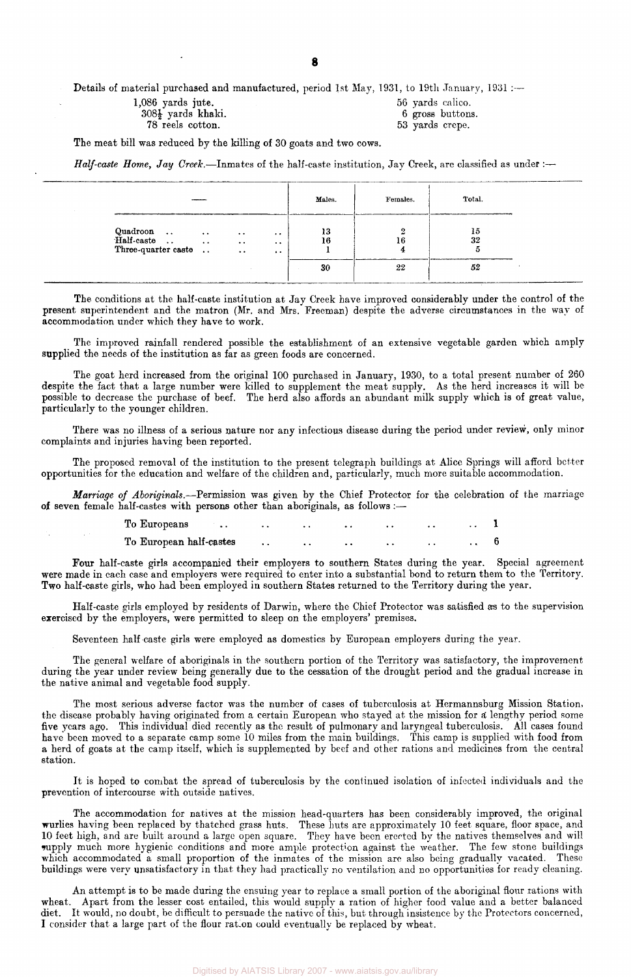Details of material purchased and manufactured, period 1st May, 1931, to 19th January, 1931 :---

| $1,086$ yards jute.           | 56 yards calico. |
|-------------------------------|------------------|
| $308\frac{1}{2}$ yards khaki. | 6 gross buttons. |
| 78 reels cotton.              | 53 yards crepe.  |

The meat bill was reduced by the killing of 30 goats and two cows.

*Half-caste Home, Jay Creek.*—Inmates of the half-caste institution, Jay Creek, are classified as under :—

|                                               |                                                |                                          | Males.   | Females. | Total.   |  |
|-----------------------------------------------|------------------------------------------------|------------------------------------------|----------|----------|----------|--|
| Quadroon<br>Half-caste<br>Three-quarter caste | $\cdot$ .<br>$\cdot$ .<br>$\ddot{\phantom{a}}$ | $\cdot$ $\cdot$<br>$\cdot$ .<br>$\cdots$ | 13<br>16 | 16       | 15<br>32 |  |
|                                               |                                                |                                          | 30       | 22       | 52       |  |

The conditions at the half-caste institution at Jay Creek have improved considerably under the control of the present superintendent and the matron (Mr. and Mrs. Freeman) despite the adverse circumstances in the way of accommodation under which they have to work.

The improved rainfall rendered possible the establishment of an extensive vegetable garden which amply supplied the needs of the institution as far as green foods are concerned.

The goat herd increased from the original 100 purchased in January, 1930, to a total present number of 260 despite the fact that a large number were killed to supplement the meat supply. As the herd increases it will be possible to decrease the purchase of beef. The herd also affords an abundant milk supply which is of great value, particularly to the younger children.

There was no illness of a serious nature nor any infectious disease during the period under review, only minor complaints and injuries having been reported.

The proposed removal of the institution to the present telegraph buildings at Alice Springs will afford better opportunities for the education and welfare of the children and, particularly, much more suitable accommodation.

*Marriage of Aboriginals.*—Permission was given by the Chief Protector for the celebration of the marriage of seven female half-castes with persons other than aboriginals, as follows :—

| To Europeans            |  |  |  |  |
|-------------------------|--|--|--|--|
| To European half-castes |  |  |  |  |

Four half-caste girls accompanied their employers to southern States during the year. Special agreement were made in each case and employers were required to enter into a substantial bond to return them to the Territory. Two half-caste girls, who had been employed in southern States returned to the Territory during the year.

Half-caste girls employed by residents of Darwin, where the Chief Protector was satisfied as to the supervision exercised by the employers, were permitted to sleep on the employers' premises.

Seventeen half-caste girls were employed as domestics by European employers during the year.

The general welfare of aboriginals in the southern portion of the Territory was satisfactory, the improvement during the year under review being generally due to the cessation of the drought period and the gradual increase in the native animal and vegetable food supply.

The most serious adverse factor was the number of cases of tuberculosis at Hermannsburg Mission Station, the disease probably having originated from a certain European who stayed at the mission for a lengthy period some five years ago. This individual died recently as the result of pulmonary and laryngeal tuberculosis. All cases found have been moved to a separate camp some 10 miles from the main buildings. This camp is supplied with food from a herd of goats at the camp itself, which is supplemented by beef and other rations and medicines from the central station.

It is hoped to combat the spread of tuberculosis by the continued isolation of infected individuals and the prevention of intercourse with outside natives.

The accommodation for natives at the mission head-quarters has been considerably improved, the original wurlies having been replaced by thatched grass huts. These huts are approximately 10 feet square, floor space, and 10 feet high, and are built around a large open square. They have been erected by the natives themselves and will supply much more hygienic conditions and more ample protection against the weather. The few stone buildings which accommodated a small proportion of the inmates of the mission are also being gradually vacated. These buildings were very unsatisfactory in that they had practically no ventilation and no opportunities for ready cleaning.

An attempt is to be made during the ensuing year to replace a small portion of the aboriginal flour rations with wheat. Apart from the lesser cost entailed, this would supply a ration of higher food value and a better balanced diet. It would, no doubt, be difficult to persuade the native of this, but through insistence by the Protectors concerned, I consider that a large part of the flour ration could eventually be replaced by wheat.